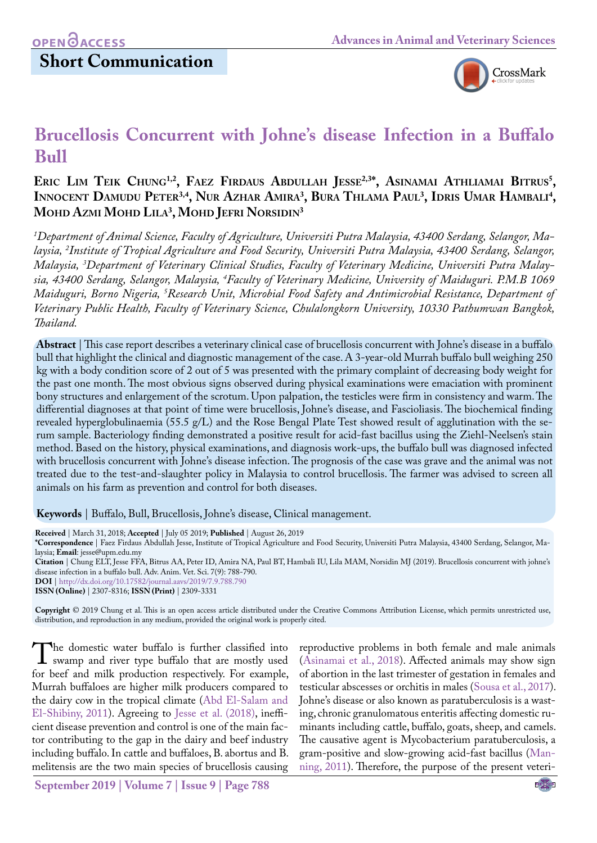# **Short Communication**



# **Brucellosis Concurrent with Johne's disease Infection in a Buffalo Bull**

### **Eric Lim Teik Chung1,2, Faez Firdaus Abdullah Jesse2,3\*, Asinamai Athliamai Bitrus5 ,**  Innocent Damudu Peter<sup>3,4</sup>, Nur Azhar Amira<sup>3</sup>, Bura Thlama Paul<sup>3</sup>, Idris Umar Hambali<sup>4</sup>, **Mohd Azmi Mohd Lila3 , Mohd Jefri Norsidin3**

*1 Department of Animal Science, Faculty of Agriculture, Universiti Putra Malaysia, 43400 Serdang, Selangor, Malaysia, 2 Institute of Tropical Agriculture and Food Security, Universiti Putra Malaysia, 43400 Serdang, Selangor, Malaysia, 3 Department of Veterinary Clinical Studies, Faculty of Veterinary Medicine, Universiti Putra Malaysia, 43400 Serdang, Selangor, Malaysia, 4 Faculty of Veterinary Medicine, University of Maiduguri. P.M.B 1069 Maiduguri, Borno Nigeria, 5 Research Unit, Microbial Food Safety and Antimicrobial Resistance, Department of Veterinary Public Health, Faculty of Veterinary Science, Chulalongkorn University, 10330 Pathumwan Bangkok, Thailand.*

**Abstract** | This case report describes a veterinary clinical case of brucellosis concurrent with Johne's disease in a buffalo bull that highlight the clinical and diagnostic management of the case. A 3-year-old Murrah buffalo bull weighing 250 kg with a body condition score of 2 out of 5 was presented with the primary complaint of decreasing body weight for the past one month. The most obvious signs observed during physical examinations were emaciation with prominent bony structures and enlargement of the scrotum. Upon palpation, the testicles were firm in consistency and warm. The differential diagnoses at that point of time were brucellosis, Johne's disease, and Fascioliasis. The biochemical finding revealed hyperglobulinaemia (55.5 g/L) and the Rose Bengal Plate Test showed result of agglutination with the serum sample. Bacteriology finding demonstrated a positive result for acid-fast bacillus using the Ziehl-Neelsen's stain method. Based on the history, physical examinations, and diagnosis work-ups, the buffalo bull was diagnosed infected with brucellosis concurrent with Johne's disease infection. The prognosis of the case was grave and the animal was not treated due to the test-and-slaughter policy in Malaysia to control brucellosis. The farmer was advised to screen all animals on his farm as prevention and control for both diseases.

**Keywords** | Buffalo, Bull, Brucellosis, Johne's disease, Clinical management.

**Received** | March 31, 2018; **Accepted** | July 05 2019; **Published** | August 26, 2019

**\*Correspondence** | Faez Firdaus Abdullah Jesse, Institute of Tropical Agriculture and Food Security, Universiti Putra Malaysia, 43400 Serdang, Selangor, Malaysia; **Email**: jesse@upm.edu.my

**Citation** | Chung ELT, Jesse FFA, Bitrus AA, Peter ID, Amira NA, Paul BT, Hambali IU, Lila MAM, Norsidin MJ (2019). Brucellosis concurrent with johne's disease infection in a buffalo bull. Adv. Anim. Vet. Sci. 7(9): 788-790.

**DOI** | [http://dx.doi.org/10.17582/journal.aavs/2019](http://dx.doi.org/10.17582/journal.aavs/2019/7.9.788.790)/7.9.788.790

**ISSN (Online)** | 2307-8316; **ISSN (Print)** | 2309-3331

**Copyright** © 2019 Chung et al. This is an open access article distributed under the Creative Commons Attribution License, which permits unrestricted use, distribution, and reproduction in any medium, provided the original work is properly cited.

The domestic water buffalo is further classified into swamp and river type buffalo that are mostly used for beef and milk production respectively. For example, for beef and milk production respectively. For example, Murrah buffaloes are higher milk producers compared to the dairy cow in the tropical climate [\(Abd El-Salam and](#page-2-0) [El-Shibiny, 2011\)](#page-2-0). Agreeing to [Jesse et al. \(2018\)](#page-2-1), inefficient disease prevention and control is one of the main factor contributing to the gap in the dairy and beef industry including buffalo. In cattle and buffaloes, B. abortus and B. melitensis are the two main species of brucellosis causing

reproductive problems in both female and male animals [\(Asinamai et al., 2018](#page-2-2)). Affected animals may show sign of abortion in the last trimester of gestation in females and testicular abscesses or orchitis in males ([Sousa et al., 2017\)](#page-2-3). Johne's disease or also known as paratuberculosis is a wasting, chronic granulomatous enteritis affecting domestic ruminants including cattle, buffalo, goats, sheep, and camels. The causative agent is Mycobacterium paratuberculosis, a gram-positive and slow-growing acid-fast bacillus [\(Man](#page-2-4)[ning, 2011](#page-2-4)). Therefore, the purpose of the present veteri-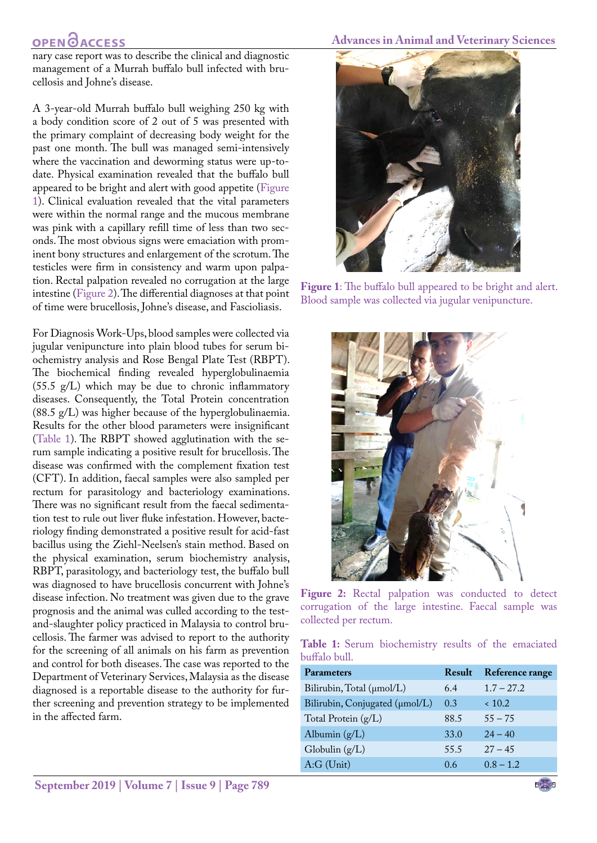### **OPENOACCESS**

nary case report was to describe the clinical and diagnostic management of a Murrah buffalo bull infected with brucellosis and Johne's disease.

A 3-year-old Murrah buffalo bull weighing 250 kg with a body condition score of 2 out of 5 was presented with the primary complaint of decreasing body weight for the past one month. The bull was managed semi-intensively where the vaccination and deworming status were up-todate. Physical examination revealed that the buffalo bull appeared to be bright and alert with good appetite [\(Figure](#page-1-0) [1\)](#page-1-0). Clinical evaluation revealed that the vital parameters were within the normal range and the mucous membrane was pink with a capillary refill time of less than two seconds. The most obvious signs were emaciation with prominent bony structures and enlargement of the scrotum. The testicles were firm in consistency and warm upon palpation. Rectal palpation revealed no corrugation at the large intestine [\(Figure 2](#page-1-1)). The differential diagnoses at that point of time were brucellosis, Johne's disease, and Fascioliasis.

For Diagnosis Work-Ups, blood samples were collected via jugular venipuncture into plain blood tubes for serum biochemistry analysis and Rose Bengal Plate Test (RBPT). The biochemical finding revealed hyperglobulinaemia  $(55.5 \text{ g/L})$  which may be due to chronic inflammatory diseases. Consequently, the Total Protein concentration (88.5 g/L) was higher because of the hyperglobulinaemia. Results for the other blood parameters were insignificant [\(Table 1](#page-1-2)). The RBPT showed agglutination with the serum sample indicating a positive result for brucellosis. The disease was confirmed with the complement fixation test (CFT). In addition, faecal samples were also sampled per rectum for parasitology and bacteriology examinations. There was no significant result from the faecal sedimentation test to rule out liver fluke infestation. However, bacteriology finding demonstrated a positive result for acid-fast bacillus using the Ziehl-Neelsen's stain method. Based on the physical examination, serum biochemistry analysis, RBPT, parasitology, and bacteriology test, the buffalo bull was diagnosed to have brucellosis concurrent with Johne's disease infection. No treatment was given due to the grave prognosis and the animal was culled according to the testand-slaughter policy practiced in Malaysia to control brucellosis. The farmer was advised to report to the authority for the screening of all animals on his farm as prevention and control for both diseases. The case was reported to the Department of Veterinary Services, Malaysia as the disease diagnosed is a reportable disease to the authority for further screening and prevention strategy to be implemented in the affected farm.

#### **Advances in Animal and Veterinary Sciences**



**Figure 1**: The buffalo bull appeared to be bright and alert. Blood sample was collected via jugular venipuncture.

<span id="page-1-0"></span>

**Figure 2:** Rectal palpation was conducted to detect corrugation of the large intestine. Faecal sample was collected per rectum.

<span id="page-1-2"></span><span id="page-1-1"></span>**Table 1:** Serum biochemistry results of the emaciated buffalo bull.

| Parameters                     | Result | Reference range |
|--------------------------------|--------|-----------------|
| Bilirubin, Total (µmol/L)      | 6.4    | $1.7 - 27.2$    |
| Bilirubin, Conjugated (µmol/L) | 0.3    | ~10.2           |
| Total Protein (g/L)            | 88.5   | $55 - 75$       |
| Albumin $(g/L)$                | 33.0   | $24 - 40$       |
| Globulin $(g/L)$               | 55.5   | $27 - 45$       |
| $A:G$ (Unit)                   | 0.6    | $0.8 - 1.2$     |
|                                |        |                 |